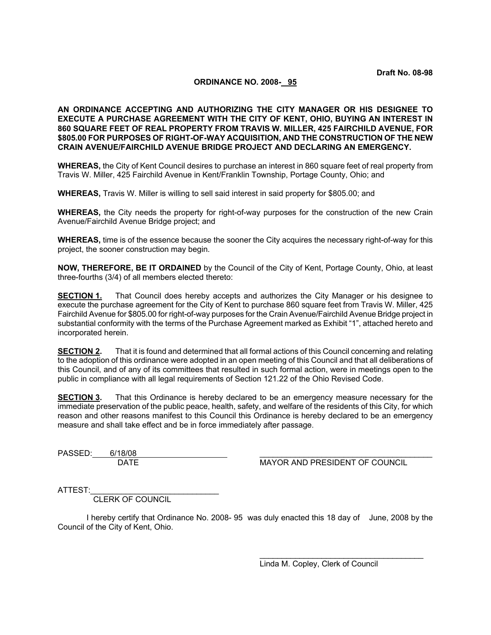### **ORDINANCE NO. 2008- 95**

**AN ORDINANCE ACCEPTING AND AUTHORIZING THE CITY MANAGER OR HIS DESIGNEE TO EXECUTE A PURCHASE AGREEMENT WITH THE CITY OF KENT, OHIO, BUYING AN INTEREST IN 860 SQUARE FEET OF REAL PROPERTY FROM TRAVIS W. MILLER, 425 FAIRCHILD AVENUE, FOR \$805.00 FOR PURPOSES OF RIGHT-OF-WAY ACQUISITION, AND THE CONSTRUCTION OF THE NEW CRAIN AVENUE/FAIRCHILD AVENUE BRIDGE PROJECT AND DECLARING AN EMERGENCY.** 

**WHEREAS,** the City of Kent Council desires to purchase an interest in 860 square feet of real property from Travis W. Miller, 425 Fairchild Avenue in Kent/Franklin Township, Portage County, Ohio; and

**WHEREAS,** Travis W. Miller is willing to sell said interest in said property for \$805.00; and

**WHEREAS,** the City needs the property for right-of-way purposes for the construction of the new Crain Avenue/Fairchild Avenue Bridge project; and

**WHEREAS,** time is of the essence because the sooner the City acquires the necessary right-of-way for this project, the sooner construction may begin.

**NOW, THEREFORE, BE IT ORDAINED** by the Council of the City of Kent, Portage County, Ohio, at least three-fourths (3/4) of all members elected thereto:

**SECTION 1.** That Council does hereby accepts and authorizes the City Manager or his designee to execute the purchase agreement for the City of Kent to purchase 860 square feet from Travis W. Miller, 425 Fairchild Avenue for \$805.00 for right-of-way purposes for the Crain Avenue/Fairchild Avenue Bridge project in substantial conformity with the terms of the Purchase Agreement marked as Exhibit "1", attached hereto and incorporated herein.

**SECTION 2.** That it is found and determined that all formal actions of this Council concerning and relating to the adoption of this ordinance were adopted in an open meeting of this Council and that all deliberations of this Council, and of any of its committees that resulted in such formal action, were in meetings open to the public in compliance with all legal requirements of Section 121.22 of the Ohio Revised Code.

**SECTION 3.** That this Ordinance is hereby declared to be an emergency measure necessary for the immediate preservation of the public peace, health, safety, and welfare of the residents of this City, for which reason and other reasons manifest to this Council this Ordinance is hereby declared to be an emergency measure and shall take effect and be in force immediately after passage.

PASSED: 0/18<br>DATE

MAYOR AND PRESIDENT OF COUNCIL

ATTEST:

CLERK OF COUNCIL

I hereby certify that Ordinance No. 2008- 95 was duly enacted this 18 day of June, 2008 by the Council of the City of Kent, Ohio.

> $\mathcal{L}_\text{max}$  and  $\mathcal{L}_\text{max}$  and  $\mathcal{L}_\text{max}$  and  $\mathcal{L}_\text{max}$  and  $\mathcal{L}_\text{max}$ Linda M. Copley, Clerk of Council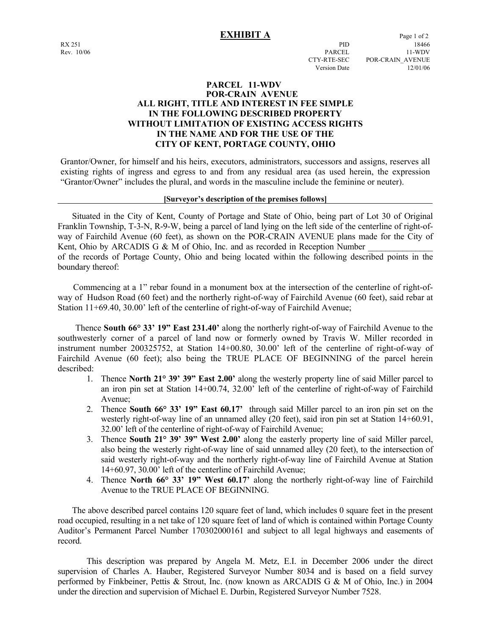# **EXHIBIT A** Page 1 of 2

### **PARCEL 11-WDV POR-CRAIN AVENUE ALL RIGHT, TITLE AND INTEREST IN FEE SIMPLE IN THE FOLLOWING DESCRIBED PROPERTY WITHOUT LIMITATION OF EXISTING ACCESS RIGHTS IN THE NAME AND FOR THE USE OF THE CITY OF KENT, PORTAGE COUNTY, OHIO**

Grantor/Owner, for himself and his heirs, executors, administrators, successors and assigns, reserves all existing rights of ingress and egress to and from any residual area (as used herein, the expression "Grantor/Owner" includes the plural, and words in the masculine include the feminine or neuter).

### **[Surveyor's description of the premises follows]**

 Situated in the City of Kent, County of Portage and State of Ohio, being part of Lot 30 of Original Franklin Township, T-3-N, R-9-W, being a parcel of land lying on the left side of the centerline of right-ofway of Fairchild Avenue (60 feet), as shown on the POR-CRAIN AVENUE plans made for the City of Kent, Ohio by ARCADIS G & M of Ohio, Inc. and as recorded in Reception Number of the records of Portage County, Ohio and being located within the following described points in the boundary thereof:

 Commencing at a 1" rebar found in a monument box at the intersection of the centerline of right-ofway of Hudson Road (60 feet) and the northerly right-of-way of Fairchild Avenue (60 feet), said rebar at Station 11+69.40, 30.00' left of the centerline of right-of-way of Fairchild Avenue;

 Thence **South 66° 33' 19" East 231.40'** along the northerly right-of-way of Fairchild Avenue to the southwesterly corner of a parcel of land now or formerly owned by Travis W. Miller recorded in instrument number 200325752, at Station 14+00.80, 30.00' left of the centerline of right-of-way of Fairchild Avenue (60 feet); also being the TRUE PLACE OF BEGINNING of the parcel herein described:

- 1. Thence **North 21° 39' 39" East 2.00'** along the westerly property line of said Miller parcel to an iron pin set at Station 14+00.74, 32.00' left of the centerline of right-of-way of Fairchild Avenue;
- 2. Thence **South 66° 33' 19" East 60.17'** through said Miller parcel to an iron pin set on the westerly right-of-way line of an unnamed alley (20 feet), said iron pin set at Station 14+60.91, 32.00' left of the centerline of right-of-way of Fairchild Avenue;
- 3. Thence **South 21° 39' 39" West 2.00'** along the easterly property line of said Miller parcel, also being the westerly right-of-way line of said unnamed alley (20 feet), to the intersection of said westerly right-of-way and the northerly right-of-way line of Fairchild Avenue at Station 14+60.97, 30.00' left of the centerline of Fairchild Avenue;
- 4. Thence **North 66° 33' 19" West 60.17'** along the northerly right-of-way line of Fairchild Avenue to the TRUE PLACE OF BEGINNING.

 The above described parcel contains 120 square feet of land, which includes 0 square feet in the present road occupied, resulting in a net take of 120 square feet of land of which is contained within Portage County Auditor's Permanent Parcel Number 170302000161 and subject to all legal highways and easements of record.

 This description was prepared by Angela M. Metz, E.I. in December 2006 under the direct supervision of Charles A. Hauber, Registered Surveyor Number 8034 and is based on a field survey performed by Finkbeiner, Pettis & Strout, Inc. (now known as ARCADIS G & M of Ohio, Inc.) in 2004 under the direction and supervision of Michael E. Durbin, Registered Surveyor Number 7528.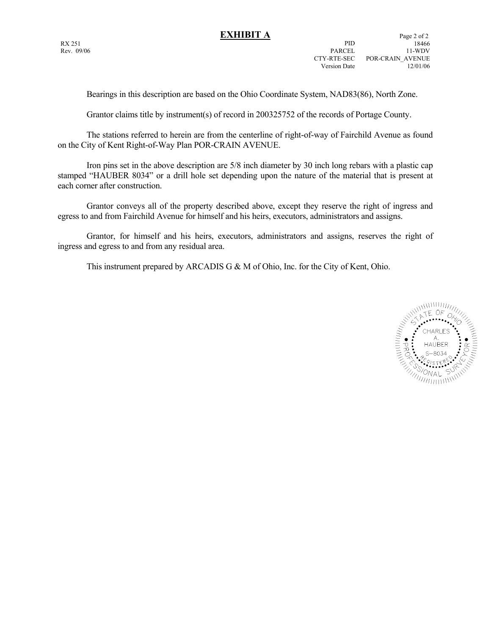Bearings in this description are based on the Ohio Coordinate System, NAD83(86), North Zone.

Grantor claims title by instrument(s) of record in 200325752 of the records of Portage County.

 The stations referred to herein are from the centerline of right-of-way of Fairchild Avenue as found on the City of Kent Right-of-Way Plan POR-CRAIN AVENUE.

 Iron pins set in the above description are 5/8 inch diameter by 30 inch long rebars with a plastic cap stamped "HAUBER 8034" or a drill hole set depending upon the nature of the material that is present at each corner after construction.

 Grantor conveys all of the property described above, except they reserve the right of ingress and egress to and from Fairchild Avenue for himself and his heirs, executors, administrators and assigns.

 Grantor, for himself and his heirs, executors, administrators and assigns, reserves the right of ingress and egress to and from any residual area.

This instrument prepared by ARCADIS G & M of Ohio, Inc. for the City of Kent, Ohio.

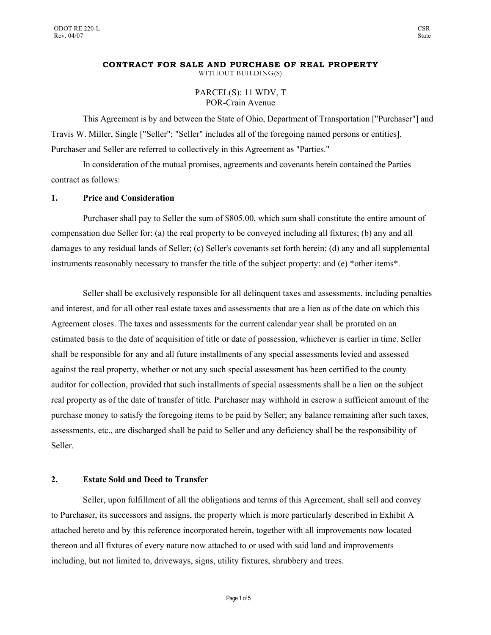### **CONTRACT FOR SALE AND PURCHASE OF REAL PROPERTY**  WITHOUT BUILDING(S)

PARCEL(S): 11 WDV, T POR-Crain Avenue

This Agreement is by and between the State of Ohio, Department of Transportation ["Purchaser"] and Travis W. Miller, Single ["Seller"; "Seller" includes all of the foregoing named persons or entities]. Purchaser and Seller are referred to collectively in this Agreement as "Parties."

In consideration of the mutual promises, agreements and covenants herein contained the Parties contract as follows:

## **1. Price and Consideration**

Purchaser shall pay to Seller the sum of \$805.00, which sum shall constitute the entire amount of compensation due Seller for: (a) the real property to be conveyed including all fixtures; (b) any and all damages to any residual lands of Seller; (c) Seller's covenants set forth herein; (d) any and all supplemental instruments reasonably necessary to transfer the title of the subject property: and (e) \*other items\*.

Seller shall be exclusively responsible for all delinquent taxes and assessments, including penalties and interest, and for all other real estate taxes and assessments that are a lien as of the date on which this Agreement closes. The taxes and assessments for the current calendar year shall be prorated on an estimated basis to the date of acquisition of title or date of possession, whichever is earlier in time. Seller shall be responsible for any and all future installments of any special assessments levied and assessed against the real property, whether or not any such special assessment has been certified to the county auditor for collection, provided that such installments of special assessments shall be a lien on the subject real property as of the date of transfer of title. Purchaser may withhold in escrow a sufficient amount of the purchase money to satisfy the foregoing items to be paid by Seller; any balance remaining after such taxes, assessments, etc., are discharged shall be paid to Seller and any deficiency shall be the responsibility of Seller.

### **2. Estate Sold and Deed to Transfer**

Seller, upon fulfillment of all the obligations and terms of this Agreement, shall sell and convey to Purchaser, its successors and assigns, the property which is more particularly described in Exhibit A attached hereto and by this reference incorporated herein, together with all improvements now located thereon and all fixtures of every nature now attached to or used with said land and improvements including, but not limited to, driveways, signs, utility fixtures, shrubbery and trees.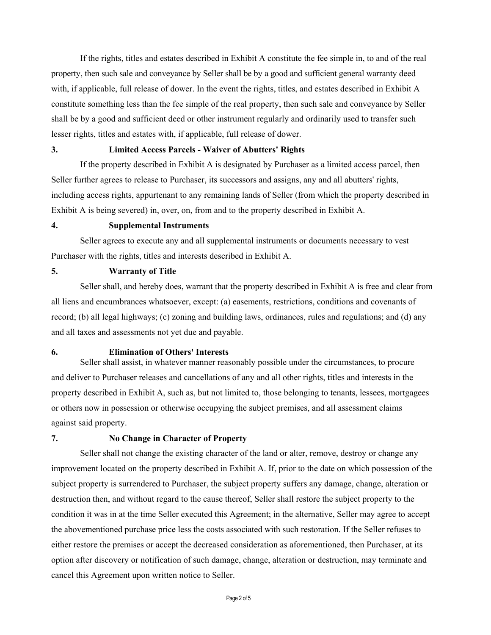If the rights, titles and estates described in Exhibit A constitute the fee simple in, to and of the real property, then such sale and conveyance by Seller shall be by a good and sufficient general warranty deed with, if applicable, full release of dower. In the event the rights, titles, and estates described in Exhibit A constitute something less than the fee simple of the real property, then such sale and conveyance by Seller shall be by a good and sufficient deed or other instrument regularly and ordinarily used to transfer such lesser rights, titles and estates with, if applicable, full release of dower.

### **3. Limited Access Parcels - Waiver of Abutters' Rights**

If the property described in Exhibit A is designated by Purchaser as a limited access parcel, then Seller further agrees to release to Purchaser, its successors and assigns, any and all abutters' rights, including access rights, appurtenant to any remaining lands of Seller (from which the property described in Exhibit A is being severed) in, over, on, from and to the property described in Exhibit A.

### **4. Supplemental Instruments**

Seller agrees to execute any and all supplemental instruments or documents necessary to vest Purchaser with the rights, titles and interests described in Exhibit A.

### **5. Warranty of Title**

Seller shall, and hereby does, warrant that the property described in Exhibit A is free and clear from all liens and encumbrances whatsoever, except: (a) easements, restrictions, conditions and covenants of record; (b) all legal highways; (c) zoning and building laws, ordinances, rules and regulations; and (d) any and all taxes and assessments not yet due and payable.

### **6. Elimination of Others' Interests**

Seller shall assist, in whatever manner reasonably possible under the circumstances, to procure and deliver to Purchaser releases and cancellations of any and all other rights, titles and interests in the property described in Exhibit A, such as, but not limited to, those belonging to tenants, lessees, mortgagees or others now in possession or otherwise occupying the subject premises, and all assessment claims against said property.

### **7. No Change in Character of Property**

Seller shall not change the existing character of the land or alter, remove, destroy or change any improvement located on the property described in Exhibit A. If, prior to the date on which possession of the subject property is surrendered to Purchaser, the subject property suffers any damage, change, alteration or destruction then, and without regard to the cause thereof, Seller shall restore the subject property to the condition it was in at the time Seller executed this Agreement; in the alternative, Seller may agree to accept the abovementioned purchase price less the costs associated with such restoration. If the Seller refuses to either restore the premises or accept the decreased consideration as aforementioned, then Purchaser, at its option after discovery or notification of such damage, change, alteration or destruction, may terminate and cancel this Agreement upon written notice to Seller.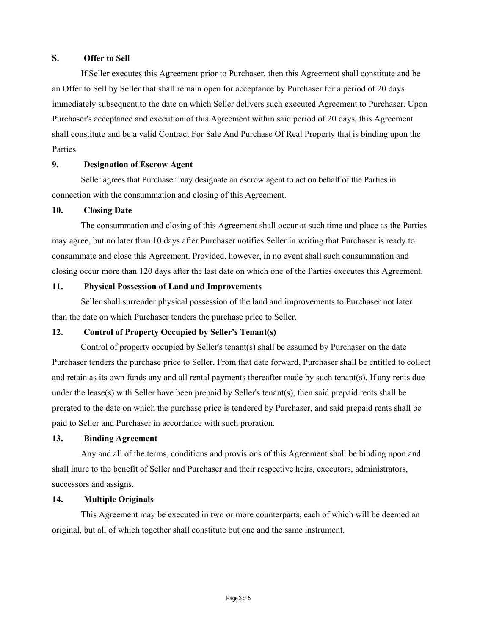# **S. Offer to Sell**

If Seller executes this Agreement prior to Purchaser, then this Agreement shall constitute and be an Offer to Sell by Seller that shall remain open for acceptance by Purchaser for a period of 20 days immediately subsequent to the date on which Seller delivers such executed Agreement to Purchaser. Upon Purchaser's acceptance and execution of this Agreement within said period of 20 days, this Agreement shall constitute and be a valid Contract For Sale And Purchase Of Real Property that is binding upon the Parties.

### **9. Designation of Escrow Agent**

Seller agrees that Purchaser may designate an escrow agent to act on behalf of the Parties in connection with the consummation and closing of this Agreement.

### **10. Closing Date**

The consummation and closing of this Agreement shall occur at such time and place as the Parties may agree, but no later than 10 days after Purchaser notifies Seller in writing that Purchaser is ready to consummate and close this Agreement. Provided, however, in no event shall such consummation and closing occur more than 120 days after the last date on which one of the Parties executes this Agreement.

### **11. Physical Possession of Land and Improvements**

Seller shall surrender physical possession of the land and improvements to Purchaser not later than the date on which Purchaser tenders the purchase price to Seller.

# **12. Control of Property Occupied by Seller's Tenant(s)**

Control of property occupied by Seller's tenant(s) shall be assumed by Purchaser on the date Purchaser tenders the purchase price to Seller. From that date forward, Purchaser shall be entitled to collect and retain as its own funds any and all rental payments thereafter made by such tenant(s). If any rents due under the lease(s) with Seller have been prepaid by Seller's tenant(s), then said prepaid rents shall be prorated to the date on which the purchase price is tendered by Purchaser, and said prepaid rents shall be paid to Seller and Purchaser in accordance with such proration.

### **13. Binding Agreement**

Any and all of the terms, conditions and provisions of this Agreement shall be binding upon and shall inure to the benefit of Seller and Purchaser and their respective heirs, executors, administrators, successors and assigns.

### **14. Multiple Originals**

This Agreement may be executed in two or more counterparts, each of which will be deemed an original, but all of which together shall constitute but one and the same instrument.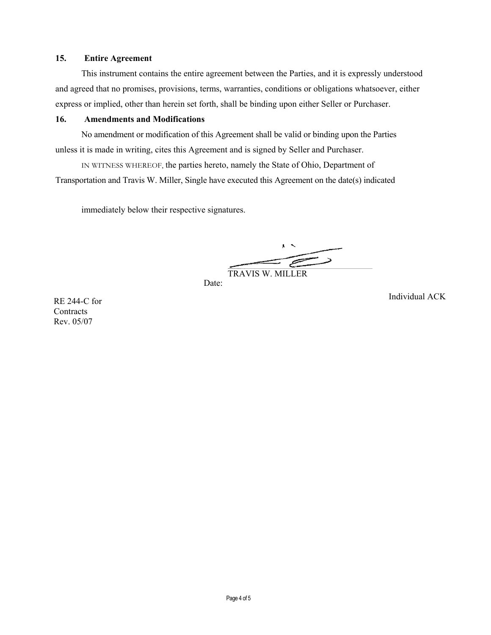# **15. Entire Agreement**

This instrument contains the entire agreement between the Parties, and it is expressly understood and agreed that no promises, provisions, terms, warranties, conditions or obligations whatsoever, either express or implied, other than herein set forth, shall be binding upon either Seller or Purchaser.

# **16. Amendments and Modifications**

No amendment or modification of this Agreement shall be valid or binding upon the Parties unless it is made in writing, cites this Agreement and is signed by Seller and Purchaser.

IN WITNESS WHEREOF, the parties hereto, namely the State of Ohio, Department of Transportation and Travis W. Miller, Single have executed this Agreement on the date(s) indicated

immediately below their respective signatures.

 $\equiv$ TRAVIS W. MILLER

Date:

Individual ACK

RE 244-C for **Contracts** Rev. 05/07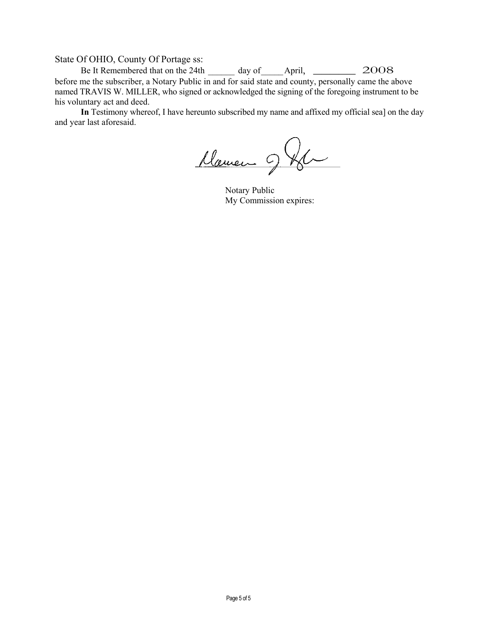State Of OHIO, County Of Portage ss:

Be It Remembered that on the 24th  $\frac{1}{2}$  day of  $\frac{1}{2008}$ before me the subscriber, a Notary Public in and for said state and county, personally came the above named TRAVIS W. MILLER, who signed or acknowledged the signing of the foregoing instrument to be his voluntary act and deed.

In Testimony whereof, I have hereunto subscribed my name and affixed my official sea] on the day and year last aforesaid.

Marien 9 Km

Notary Public My Commission expires: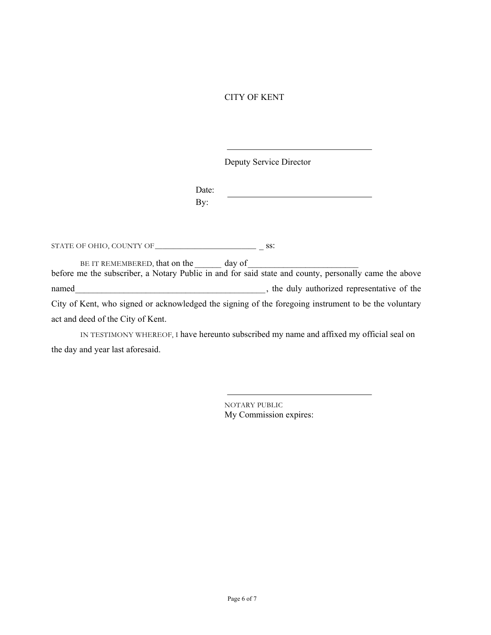# CITY OF KENT

Deputy Service Director

Date: By:

STATE OF OHIO, COUNTY OF\_\_\_\_\_\_\_\_\_\_\_\_\_\_\_\_\_\_\_\_\_\_\_\_\_\_\_\_ \_ ss:

BE IT REMEMBERED, that on the day of before me the subscriber, a Notary Public in and for said state and county, personally came the above named\_\_\_\_\_\_\_\_\_\_\_\_\_\_\_\_\_\_\_\_\_\_\_\_\_\_\_\_\_\_\_\_\_\_\_\_\_\_\_\_\_\_\_, the duly authorized representative of the City of Kent, who signed or acknowledged the signing of the foregoing instrument to be the voluntary act and deed of the City of Kent.

IN TESTIMONY WHEREOF, I have hereunto subscribed my name and affixed my official seal on the day and year last aforesaid.

> NOTARY PUBLIC My Commission expires: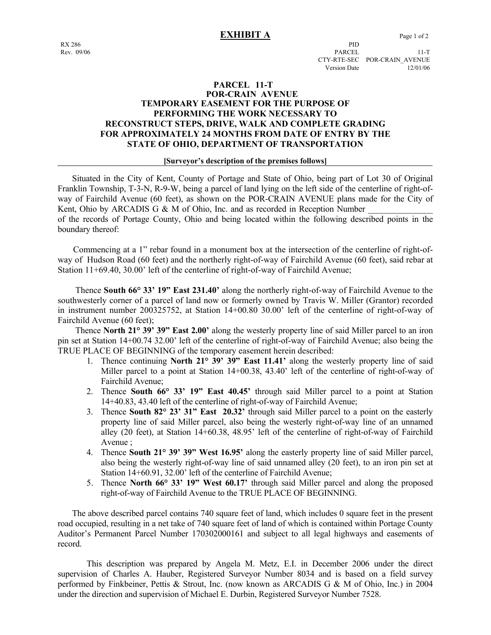### **EXHIBIT A** Page 1 of 2

Rev. 09/06 PARCEL 11-T CTY-RTE-SEC POR-CRAIN\_AVENUE Version Date 12/01/06

### **PARCEL 11-T POR-CRAIN AVENUE TEMPORARY EASEMENT FOR THE PURPOSE OF PERFORMING THE WORK NECESSARY TO RECONSTRUCT STEPS, DRIVE, WALK AND COMPLETE GRADING FOR APPROXIMATELY 24 MONTHS FROM DATE OF ENTRY BY THE STATE OF OHIO, DEPARTMENT OF TRANSPORTATION**

### **[Surveyor's description of the premises follows]**

 Situated in the City of Kent, County of Portage and State of Ohio, being part of Lot 30 of Original Franklin Township, T-3-N, R-9-W, being a parcel of land lying on the left side of the centerline of right-ofway of Fairchild Avenue (60 feet), as shown on the POR-CRAIN AVENUE plans made for the City of Kent, Ohio by ARCADIS G & M of Ohio, Inc. and as recorded in Reception Number of the records of Portage County, Ohio and being located within the following described points in the

boundary thereof:

 Commencing at a 1" rebar found in a monument box at the intersection of the centerline of right-ofway of Hudson Road (60 feet) and the northerly right-of-way of Fairchild Avenue (60 feet), said rebar at Station 11+69.40, 30.00' left of the centerline of right-of-way of Fairchild Avenue;

 Thence **South 66° 33' 19" East 231.40'** along the northerly right-of-way of Fairchild Avenue to the southwesterly corner of a parcel of land now or formerly owned by Travis W. Miller (Grantor) recorded in instrument number 200325752, at Station 14+00.80 30.00' left of the centerline of right-of-way of Fairchild Avenue (60 feet);

 Thence **North 21° 39' 39" East 2.00'** along the westerly property line of said Miller parcel to an iron pin set at Station 14+00.74 32.00' left of the centerline of right-of-way of Fairchild Avenue; also being the TRUE PLACE OF BEGINNING of the temporary easement herein described:

- 1. Thence continuing **North 21° 39' 39" East 11.41'** along the westerly property line of said Miller parcel to a point at Station 14+00.38, 43.40' left of the centerline of right-of-way of Fairchild Avenue;
- 2. Thence **South 66° 33' 19" East 40.45'** through said Miller parcel to a point at Station 14+40.83, 43.40 left of the centerline of right-of-way of Fairchild Avenue;
- 3. Thence **South 82° 23' 31" East 20.32'** through said Miller parcel to a point on the easterly property line of said Miller parcel, also being the westerly right-of-way line of an unnamed alley (20 feet), at Station 14+60.38, 48.95' left of the centerline of right-of-way of Fairchild Avenue ;
- 4. Thence **South 21° 39' 39" West 16.95'** along the easterly property line of said Miller parcel, also being the westerly right-of-way line of said unnamed alley (20 feet), to an iron pin set at Station 14+60.91, 32.00' left of the centerline of Fairchild Avenue;
- 5. Thence **North 66° 33' 19" West 60.17'** through said Miller parcel and along the proposed right-of-way of Fairchild Avenue to the TRUE PLACE OF BEGINNING.

 The above described parcel contains 740 square feet of land, which includes 0 square feet in the present road occupied, resulting in a net take of 740 square feet of land of which is contained within Portage County Auditor's Permanent Parcel Number 170302000161 and subject to all legal highways and easements of record.

 This description was prepared by Angela M. Metz, E.I. in December 2006 under the direct supervision of Charles A. Hauber, Registered Surveyor Number 8034 and is based on a field survey performed by Finkbeiner, Pettis & Strout, Inc. (now known as ARCADIS G & M of Ohio, Inc.) in 2004 under the direction and supervision of Michael E. Durbin, Registered Surveyor Number 7528.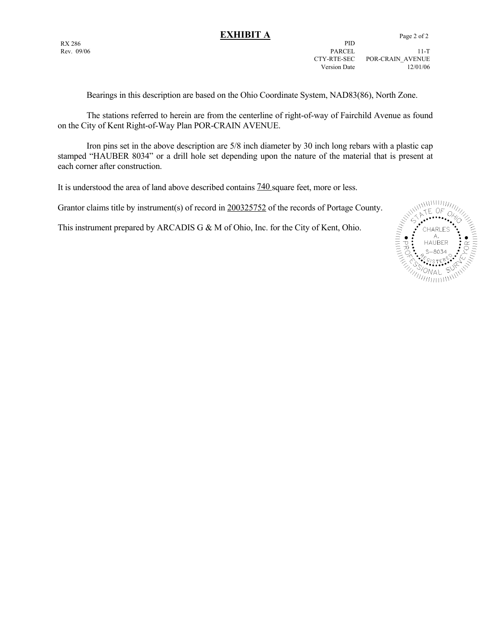**EXHIBIT A** Page 2 of 2 RX 286 PID Rev. 09/06 PARCEL 11-T CTY-RTE-SEC POR-CRAIN\_AVENUE Version Date 12/01/06

Bearings in this description are based on the Ohio Coordinate System, NAD83(86), North Zone.

 The stations referred to herein are from the centerline of right-of-way of Fairchild Avenue as found on the City of Kent Right-of-Way Plan POR-CRAIN AVENUE.

 Iron pins set in the above description are 5/8 inch diameter by 30 inch long rebars with a plastic cap stamped "HAUBER 8034" or a drill hole set depending upon the nature of the material that is present at each corner after construction.

It is understood the area of land above described contains 740 square feet, more or less.

This instrument prepared by ARCADIS G & M of Ohio, Inc. for the City of Kent, Ohio.

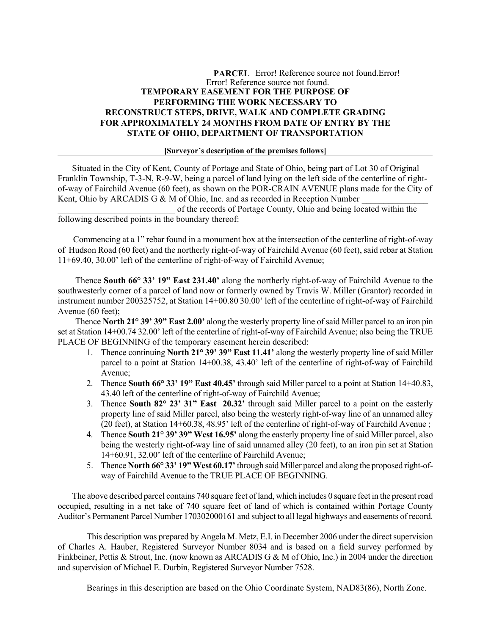## **PARCEL** Error! Reference source not found.Error! Error! Reference source not found. **TEMPORARY EASEMENT FOR THE PURPOSE OF PERFORMING THE WORK NECESSARY TO RECONSTRUCT STEPS, DRIVE, WALK AND COMPLETE GRADING FOR APPROXIMATELY 24 MONTHS FROM DATE OF ENTRY BY THE STATE OF OHIO, DEPARTMENT OF TRANSPORTATION**

### **[Surveyor's description of the premises follows]**

 Situated in the City of Kent, County of Portage and State of Ohio, being part of Lot 30 of Original Franklin Township, T-3-N, R-9-W, being a parcel of land lying on the left side of the centerline of rightof-way of Fairchild Avenue (60 feet), as shown on the POR-CRAIN AVENUE plans made for the City of Kent, Ohio by ARCADIS G & M of Ohio, Inc. and as recorded in Reception Number

 of the records of Portage County, Ohio and being located within the following described points in the boundary thereof:

 Commencing at a 1" rebar found in a monument box at the intersection of the centerline of right-of-way of Hudson Road (60 feet) and the northerly right-of-way of Fairchild Avenue (60 feet), said rebar at Station 11+69.40, 30.00' left of the centerline of right-of-way of Fairchild Avenue;

 Thence **South 66° 33' 19" East 231.40'** along the northerly right-of-way of Fairchild Avenue to the southwesterly corner of a parcel of land now or formerly owned by Travis W. Miller (Grantor) recorded in instrument number 200325752, at Station 14+00.80 30.00' left of the centerline of right-of-way of Fairchild Avenue (60 feet);

 Thence **North 21° 39' 39" East 2.00'** along the westerly property line of said Miller parcel to an iron pin set at Station 14+00.74 32.00' left of the centerline of right-of-way of Fairchild Avenue; also being the TRUE PLACE OF BEGINNING of the temporary easement herein described:

- 1. Thence continuing **North 21° 39' 39" East 11.41'** along the westerly property line of said Miller parcel to a point at Station 14+00.38, 43.40' left of the centerline of right-of-way of Fairchild Avenue;
- 2. Thence **South 66° 33' 19" East 40.45'** through said Miller parcel to a point at Station 14+40.83, 43.40 left of the centerline of right-of-way of Fairchild Avenue;
- 3. Thence **South 82° 23' 31" East 20.32'** through said Miller parcel to a point on the easterly property line of said Miller parcel, also being the westerly right-of-way line of an unnamed alley (20 feet), at Station 14+60.38, 48.95' left of the centerline of right-of-way of Fairchild Avenue ;
- 4. Thence **South 21° 39' 39" West 16.95'** along the easterly property line of said Miller parcel, also being the westerly right-of-way line of said unnamed alley (20 feet), to an iron pin set at Station 14+60.91, 32.00' left of the centerline of Fairchild Avenue;
- 5. Thence **North 66° 33' 19" West 60.17'** through said Miller parcel and along the proposed right-ofway of Fairchild Avenue to the TRUE PLACE OF BEGINNING.

 The above described parcel contains 740 square feet of land, which includes 0 square feet in the present road occupied, resulting in a net take of 740 square feet of land of which is contained within Portage County Auditor's Permanent Parcel Number 170302000161 and subject to all legal highways and easements of record.

 This description was prepared by Angela M. Metz, E.I. in December 2006 under the direct supervision of Charles A. Hauber, Registered Surveyor Number 8034 and is based on a field survey performed by Finkbeiner, Pettis & Strout, Inc. (now known as ARCADIS G & M of Ohio, Inc.) in 2004 under the direction and supervision of Michael E. Durbin, Registered Surveyor Number 7528.

Bearings in this description are based on the Ohio Coordinate System, NAD83(86), North Zone.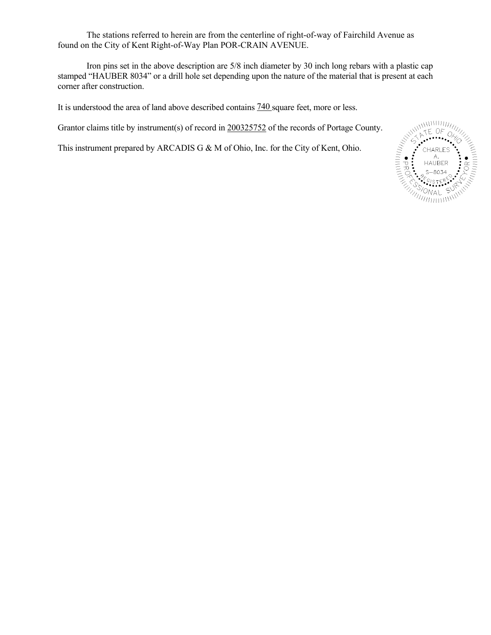The stations referred to herein are from the centerline of right-of-way of Fairchild Avenue as found on the City of Kent Right-of-Way Plan POR-CRAIN AVENUE.

 Iron pins set in the above description are 5/8 inch diameter by 30 inch long rebars with a plastic cap stamped "HAUBER 8034" or a drill hole set depending upon the nature of the material that is present at each corner after construction.

It is understood the area of land above described contains 740 square feet, more or less.

Grantor claims title by instrument(s) of record in 200325752 of the records of Portage County.

This instrument prepared by ARCADIS G & M of Ohio, Inc. for the City of Kent, Ohio.

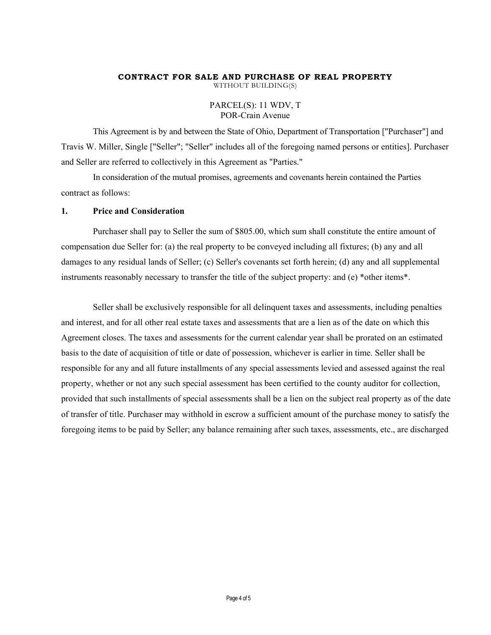# **CONTRACT FOR SALE AND PURCHASE OF REAL PROPERTY**

WITHOUT BUILDING(S)

## PARCEL(S): 11 WDV, T POR-Crain Avenue

This Agreement is by and between the State of Ohio, Department of Transportation ["Purchaser"] and Travis W. Miller, Single ["Seller"; "Seller" includes all of the foregoing named persons or entities]. Purchaser and Seller are referred to collectively in this Agreement as "Parties."

In consideration of the mutual promises, agreements and covenants herein contained the Parties contract as follows:

### **1. Price and Consideration**

Purchaser shall pay to Seller the sum of \$805.00, which sum shall constitute the entire amount of compensation due Seller for: (a) the real property to be conveyed including all fixtures; (b) any and all damages to any residual lands of Seller; (c) Seller's covenants set forth herein; (d) any and all supplemental instruments reasonably necessary to transfer the title of the subject property: and (e) \*other items\*.

Seller shall be exclusively responsible for all delinquent taxes and assessments, including penalties and interest, and for all other real estate taxes and assessments that are a lien as of the date on which this Agreement closes. The taxes and assessments for the current calendar year shall be prorated on an estimated basis to the date of acquisition of title or date of possession, whichever is earlier in time. Seller shall be responsible for any and all future installments of any special assessments levied and assessed against the real property, whether or not any such special assessment has been certified to the county auditor for collection, provided that such installments of special assessments shall be a lien on the subject real property as of the date of transfer of title. Purchaser may withhold in escrow a sufficient amount of the purchase money to satisfy the foregoing items to be paid by Seller; any balance remaining after such taxes, assessments, etc., are discharged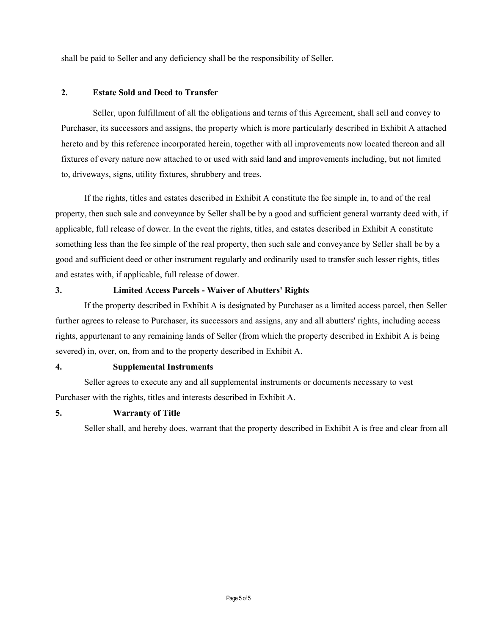shall be paid to Seller and any deficiency shall be the responsibility of Seller.

# **2. Estate Sold and Deed to Transfer**

Seller, upon fulfillment of all the obligations and terms of this Agreement, shall sell and convey to Purchaser, its successors and assigns, the property which is more particularly described in Exhibit A attached hereto and by this reference incorporated herein, together with all improvements now located thereon and all fixtures of every nature now attached to or used with said land and improvements including, but not limited to, driveways, signs, utility fixtures, shrubbery and trees.

If the rights, titles and estates described in Exhibit A constitute the fee simple in, to and of the real property, then such sale and conveyance by Seller shall be by a good and sufficient general warranty deed with, if applicable, full release of dower. In the event the rights, titles, and estates described in Exhibit A constitute something less than the fee simple of the real property, then such sale and conveyance by Seller shall be by a good and sufficient deed or other instrument regularly and ordinarily used to transfer such lesser rights, titles and estates with, if applicable, full release of dower.

### **3. Limited Access Parcels - Waiver of Abutters' Rights**

If the property described in Exhibit A is designated by Purchaser as a limited access parcel, then Seller further agrees to release to Purchaser, its successors and assigns, any and all abutters' rights, including access rights, appurtenant to any remaining lands of Seller (from which the property described in Exhibit A is being severed) in, over, on, from and to the property described in Exhibit A.

## **4. Supplemental Instruments**

Seller agrees to execute any and all supplemental instruments or documents necessary to vest Purchaser with the rights, titles and interests described in Exhibit A.

### **5. Warranty of Title**

Seller shall, and hereby does, warrant that the property described in Exhibit A is free and clear from all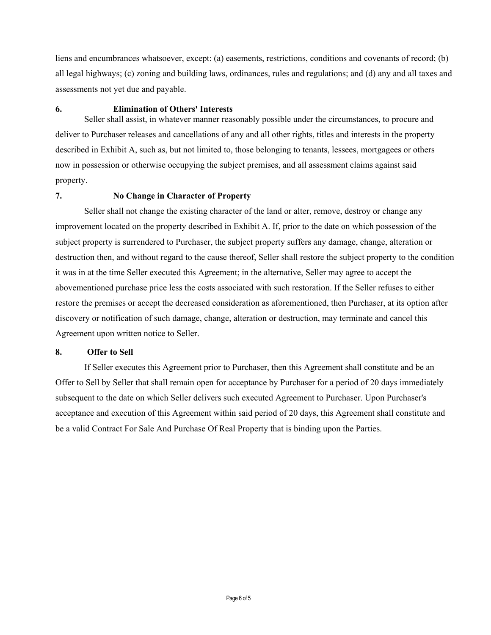liens and encumbrances whatsoever, except: (a) easements, restrictions, conditions and covenants of record; (b) all legal highways; (c) zoning and building laws, ordinances, rules and regulations; and (d) any and all taxes and assessments not yet due and payable.

### **6. Elimination of Others' Interests**

Seller shall assist, in whatever manner reasonably possible under the circumstances, to procure and deliver to Purchaser releases and cancellations of any and all other rights, titles and interests in the property described in Exhibit A, such as, but not limited to, those belonging to tenants, lessees, mortgagees or others now in possession or otherwise occupying the subject premises, and all assessment claims against said property.

# **7. No Change in Character of Property**

Seller shall not change the existing character of the land or alter, remove, destroy or change any improvement located on the property described in Exhibit A. If, prior to the date on which possession of the subject property is surrendered to Purchaser, the subject property suffers any damage, change, alteration or destruction then, and without regard to the cause thereof, Seller shall restore the subject property to the condition it was in at the time Seller executed this Agreement; in the alternative, Seller may agree to accept the abovementioned purchase price less the costs associated with such restoration. If the Seller refuses to either restore the premises or accept the decreased consideration as aforementioned, then Purchaser, at its option after discovery or notification of such damage, change, alteration or destruction, may terminate and cancel this Agreement upon written notice to Seller.

### **8. Offer to Sell**

If Seller executes this Agreement prior to Purchaser, then this Agreement shall constitute and be an Offer to Sell by Seller that shall remain open for acceptance by Purchaser for a period of 20 days immediately subsequent to the date on which Seller delivers such executed Agreement to Purchaser. Upon Purchaser's acceptance and execution of this Agreement within said period of 20 days, this Agreement shall constitute and be a valid Contract For Sale And Purchase Of Real Property that is binding upon the Parties.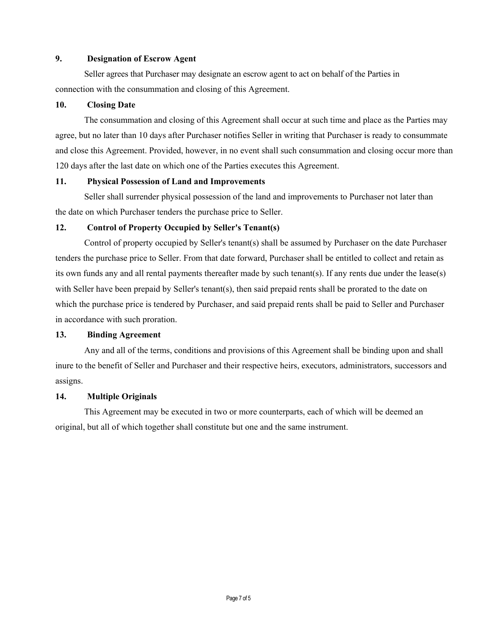### **9. Designation of Escrow Agent**

Seller agrees that Purchaser may designate an escrow agent to act on behalf of the Parties in connection with the consummation and closing of this Agreement.

### **10. Closing Date**

The consummation and closing of this Agreement shall occur at such time and place as the Parties may agree, but no later than 10 days after Purchaser notifies Seller in writing that Purchaser is ready to consummate and close this Agreement. Provided, however, in no event shall such consummation and closing occur more than 120 days after the last date on which one of the Parties executes this Agreement.

### **11. Physical Possession of Land and Improvements**

Seller shall surrender physical possession of the land and improvements to Purchaser not later than the date on which Purchaser tenders the purchase price to Seller.

## **12. Control of Property Occupied by Seller's Tenant(s)**

Control of property occupied by Seller's tenant(s) shall be assumed by Purchaser on the date Purchaser tenders the purchase price to Seller. From that date forward, Purchaser shall be entitled to collect and retain as its own funds any and all rental payments thereafter made by such tenant(s). If any rents due under the lease(s) with Seller have been prepaid by Seller's tenant(s), then said prepaid rents shall be prorated to the date on which the purchase price is tendered by Purchaser, and said prepaid rents shall be paid to Seller and Purchaser in accordance with such proration.

# **13. Binding Agreement**

Any and all of the terms, conditions and provisions of this Agreement shall be binding upon and shall inure to the benefit of Seller and Purchaser and their respective heirs, executors, administrators, successors and assigns.

## **14. Multiple Originals**

This Agreement may be executed in two or more counterparts, each of which will be deemed an original, but all of which together shall constitute but one and the same instrument.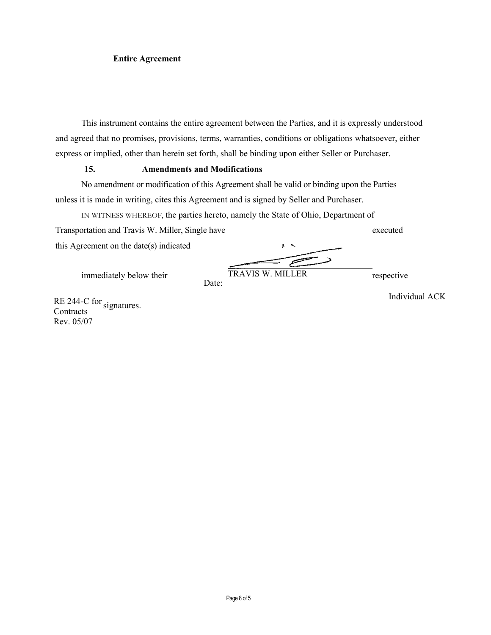### **Entire Agreement**

This instrument contains the entire agreement between the Parties, and it is expressly understood and agreed that no promises, provisions, terms, warranties, conditions or obligations whatsoever, either express or implied, other than herein set forth, shall be binding upon either Seller or Purchaser.

### **15. Amendments and Modifications**

No amendment or modification of this Agreement shall be valid or binding upon the Parties unless it is made in writing, cites this Agreement and is signed by Seller and Purchaser.

Date:

IN WITNESS WHEREOF, the parties hereto, namely the State of Ohio, Department of

Transportation and Travis W. Miller, Single have executed this Agreement on the date(s) indicated

immediately below their TRAVIS W. MILLER respective TRAVIS W. MILLER

RE 244-C for signatures. **Contracts** Rev. 05/07

Individual ACK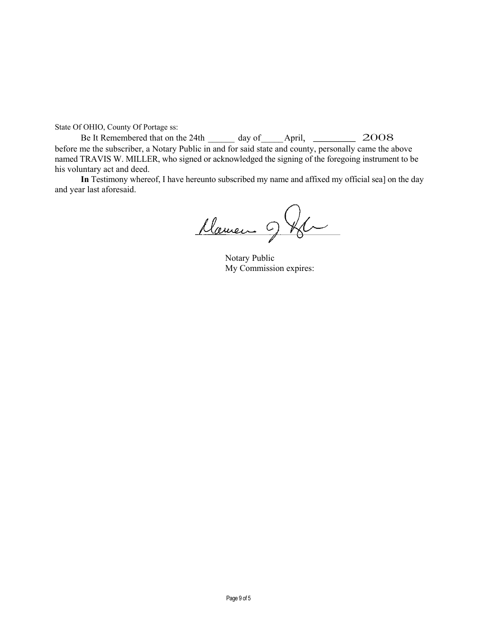State Of OHIO, County Of Portage ss:

Be It Remembered that on the 24th \_\_\_\_\_\_ day of\_\_\_\_\_April, \_\_\_\_\_ 2008 before me the subscriber, a Notary Public in and for said state and county, personally came the above named TRAVIS W. MILLER, who signed or acknowledged the signing of the foregoing instrument to be his voluntary act and deed.

In Testimony whereof, I have hereunto subscribed my name and affixed my official sea] on the day and year last aforesaid.

Marien 9 Km

Notary Public My Commission expires: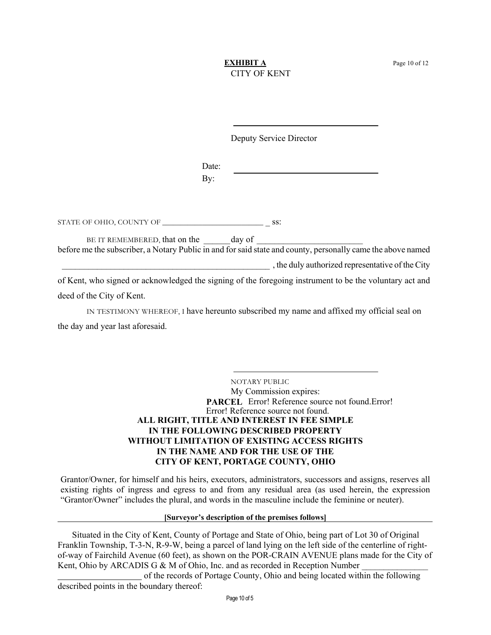### **EXHIBIT A** Page 10 of 12 CITY OF KENT

Deputy Service Director

Date: By:

STATE OF OHIO, COUNTY OF  $\_$ 

BE IT REMEMBERED, that on the day of before me the subscriber, a Notary Public in and for said state and county, personally came the above named

\_\_\_\_\_\_\_\_\_\_\_\_\_\_\_\_\_\_\_\_\_\_\_\_\_\_\_\_\_\_\_\_\_\_\_\_\_\_\_\_\_\_\_\_\_\_\_ , the duly authorized representative of the City

of Kent, who signed or acknowledged the signing of the foregoing instrument to be the voluntary act and deed of the City of Kent.

IN TESTIMONY WHEREOF, I have hereunto subscribed my name and affixed my official seal on the day and year last aforesaid.

> NOTARY PUBLIC My Commission expires: PARCEL Error! Reference source not found.Error! Error! Reference source not found. **ALL RIGHT, TITLE AND INTEREST IN FEE SIMPLE IN THE FOLLOWING DESCRIBED PROPERTY WITHOUT LIMITATION OF EXISTING ACCESS RIGHTS IN THE NAME AND FOR THE USE OF THE CITY OF KENT, PORTAGE COUNTY, OHIO**

Grantor/Owner, for himself and his heirs, executors, administrators, successors and assigns, reserves all existing rights of ingress and egress to and from any residual area (as used herein, the expression "Grantor/Owner" includes the plural, and words in the masculine include the feminine or neuter).

### **[Surveyor's description of the premises follows]**

 Situated in the City of Kent, County of Portage and State of Ohio, being part of Lot 30 of Original Franklin Township, T-3-N, R-9-W, being a parcel of land lying on the left side of the centerline of rightof-way of Fairchild Avenue (60 feet), as shown on the POR-CRAIN AVENUE plans made for the City of Kent, Ohio by ARCADIS G & M of Ohio, Inc. and as recorded in Reception Number

 of the records of Portage County, Ohio and being located within the following described points in the boundary thereof: